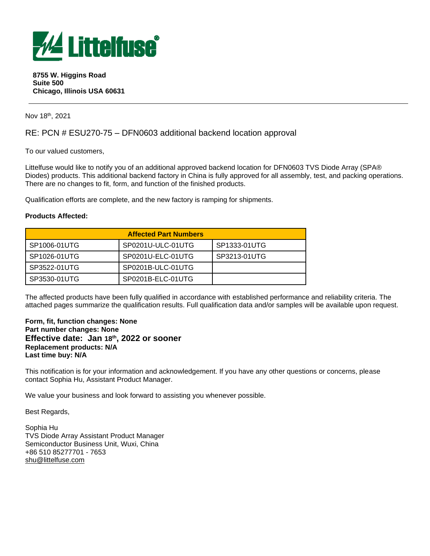

#### **8755 W. Higgins Road Suite 500 Chicago, Illinois USA 60631**

Nov 18<sup>th</sup>, 2021

# RE: PCN # ESU270-75 – DFN0603 additional backend location approval

To our valued customers,

Littelfuse would like to notify you of an additional approved backend location for DFN0603 TVS Diode Array (SPA® Diodes) products. This additional backend factory in China is fully approved for all assembly, test, and packing operations. There are no changes to fit, form, and function of the finished products.

Qualification efforts are complete, and the new factory is ramping for shipments.

### **Products Affected:**

| <b>Affected Part Numbers</b> |                   |              |  |
|------------------------------|-------------------|--------------|--|
| SP1006-01UTG                 | SP0201U-ULC-01UTG | SP1333-01UTG |  |
| SP1026-01UTG                 | SP0201U-ELC-01UTG | SP3213-01UTG |  |
| SP3522-01UTG                 | SP0201B-ULC-01UTG |              |  |
| SP3530-01UTG                 | SP0201B-ELC-01UTG |              |  |

The affected products have been fully qualified in accordance with established performance and reliability criteria. The attached pages summarize the qualification results. Full qualification data and/or samples will be available upon request.

### **Form, fit, function changes: None Part number changes: None Effective date: Jan 18 th, 2022 or sooner Replacement products: N/A Last time buy: N/A**

This notification is for your information and acknowledgement. If you have any other questions or concerns, please contact Sophia Hu, Assistant Product Manager.

We value your business and look forward to assisting you whenever possible.

Best Regards,

Sophia Hu TVS Diode Array Assistant Product Manager Semiconductor Business Unit, Wuxi, China +86 510 85277701 - 7653 [shu@littelfuse.com](mailto:shu@littelfuse.com)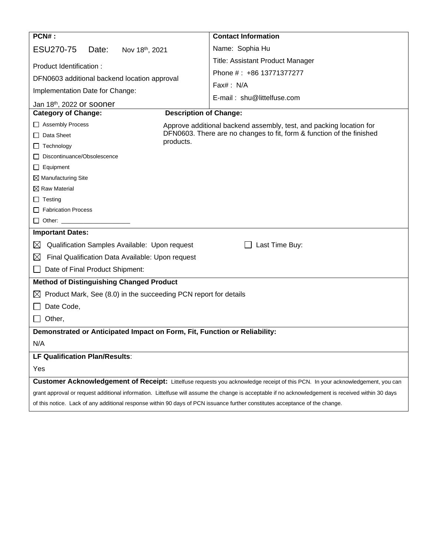| PCN#:                                                                                                                        | <b>Contact Information</b>                                                                                                                         |  |
|------------------------------------------------------------------------------------------------------------------------------|----------------------------------------------------------------------------------------------------------------------------------------------------|--|
| ESU270-75<br>Date:<br>Nov 18th, 2021                                                                                         | Name: Sophia Hu                                                                                                                                    |  |
| Product Identification:                                                                                                      | <b>Title: Assistant Product Manager</b>                                                                                                            |  |
| DFN0603 additional backend location approval                                                                                 | Phone #: +86 13771377277                                                                                                                           |  |
|                                                                                                                              | Fax#: N/A                                                                                                                                          |  |
| Implementation Date for Change:                                                                                              | E-mail: shu@littelfuse.com                                                                                                                         |  |
| Jan 18th, 2022 Or Sooner                                                                                                     |                                                                                                                                                    |  |
| <b>Description of Change:</b><br><b>Category of Change:</b>                                                                  |                                                                                                                                                    |  |
| □ Assembly Process                                                                                                           | Approve additional backend assembly, test, and packing location for                                                                                |  |
| $\Box$ Data Sheet<br>products.                                                                                               | DFN0603. There are no changes to fit, form & function of the finished                                                                              |  |
| Technology<br>ப                                                                                                              |                                                                                                                                                    |  |
| Discontinuance/Obsolescence                                                                                                  |                                                                                                                                                    |  |
| $\Box$ Equipment                                                                                                             |                                                                                                                                                    |  |
| $\boxtimes$ Manufacturing Site<br>$\boxtimes$ Raw Material                                                                   |                                                                                                                                                    |  |
| $\Box$ Testing                                                                                                               |                                                                                                                                                    |  |
| Fabrication Process                                                                                                          |                                                                                                                                                    |  |
| $\Box$ Other: $\Box$                                                                                                         |                                                                                                                                                    |  |
| <b>Important Dates:</b>                                                                                                      |                                                                                                                                                    |  |
|                                                                                                                              |                                                                                                                                                    |  |
| Qualification Samples Available: Upon request<br>$\boxtimes$                                                                 | Last Time Buy:                                                                                                                                     |  |
| $\boxtimes$<br>Final Qualification Data Available: Upon request                                                              |                                                                                                                                                    |  |
| Date of Final Product Shipment:                                                                                              |                                                                                                                                                    |  |
| <b>Method of Distinguishing Changed Product</b>                                                                              |                                                                                                                                                    |  |
| Product Mark, See (8.0) in the succeeding PCN report for details<br>$\boxtimes$                                              |                                                                                                                                                    |  |
| Date Code,                                                                                                                   |                                                                                                                                                    |  |
| Other,                                                                                                                       |                                                                                                                                                    |  |
| Demonstrated or Anticipated Impact on Form, Fit, Function or Reliability:                                                    |                                                                                                                                                    |  |
| N/A                                                                                                                          |                                                                                                                                                    |  |
| LF Qualification Plan/Results:                                                                                               |                                                                                                                                                    |  |
| Yes                                                                                                                          |                                                                                                                                                    |  |
|                                                                                                                              | Customer Acknowledgement of Receipt: Littelfuse requests you acknowledge receipt of this PCN. In your acknowledgement, you can                     |  |
|                                                                                                                              | grant approval or request additional information. Littelfuse will assume the change is acceptable if no acknowledgement is received within 30 days |  |
| of this notice. Lack of any additional response within 90 days of PCN issuance further constitutes acceptance of the change. |                                                                                                                                                    |  |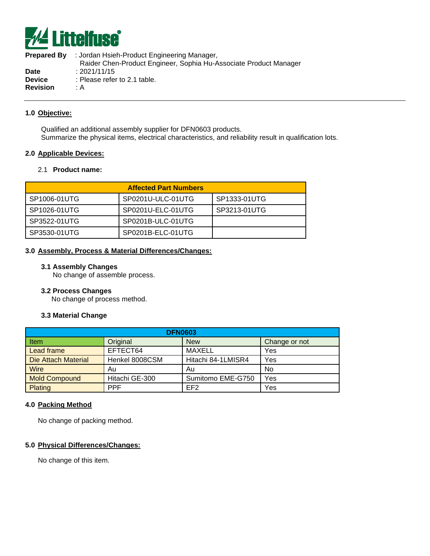

**Prepared By** : Jordan Hsieh-Product Engineering Manager, Raider Chen-Product Engineer, Sophia Hu-Associate Product Manager **Date** : 2021/11/15 **Device** : Please refer to 2.1 table. **Revision** : A

### **1.0 Objective:**

Qualified an additional assembly supplier for DFN0603 products. Summarize the physical items, electrical characteristics, and reliability result in qualification lots.

#### **2.0 Applicable Devices:**

### 2.1 **Product name:**

| <b>Affected Part Numbers</b> |                   |              |  |
|------------------------------|-------------------|--------------|--|
| SP1006-01UTG                 | SP0201U-ULC-01UTG | SP1333-01UTG |  |
| SP1026-01UTG                 | SP0201U-ELC-01UTG | SP3213-01UTG |  |
| SP3522-01UTG                 | SP0201B-ULC-01UTG |              |  |
| SP3530-01UTG                 | SP0201B-ELC-01UTG |              |  |

### **3.0 Assembly, Process & Material Differences/Changes:**

#### **3.1 Assembly Changes**

No change of assemble process.

#### **3.2 Process Changes**

No change of process method.

#### **3.3 Material Change**

| <b>DFN0603</b>       |                |                    |               |
|----------------------|----------------|--------------------|---------------|
| Item                 | Original       | <b>New</b>         | Change or not |
| Lead frame           | EFTECT64       | MAXELL             | Yes           |
| Die Attach Material  | Henkel 8008CSM | Hitachi 84-1LMISR4 | Yes           |
| <b>Wire</b>          | Au             | Au                 | No            |
| <b>Mold Compound</b> | Hitachi GE-300 | Sumitomo EME-G750  | Yes           |
| Plating              | <b>PPF</b>     | EF <sub>2</sub>    | Yes           |

#### **4.0 Packing Method**

No change of packing method.

#### **5.0 Physical Differences/Changes:**

No change of this item.